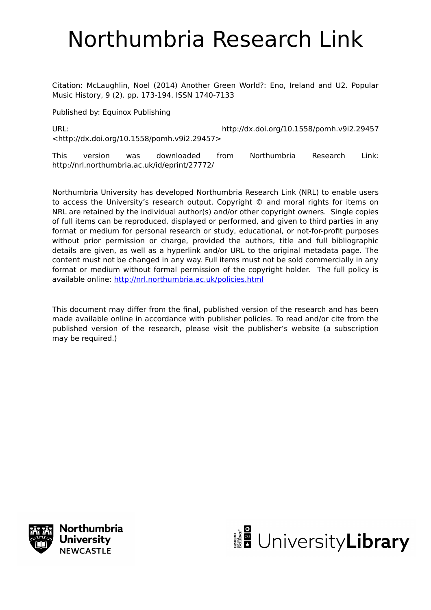# Northumbria Research Link

Citation: McLaughlin, Noel (2014) Another Green World?: Eno, Ireland and U2. Popular Music History, 9 (2). pp. 173-194. ISSN 1740-7133

Published by: Equinox Publishing

URL: http://dx.doi.org/10.1558/pomh.v9i2.29457 <http://dx.doi.org/10.1558/pomh.v9i2.29457>

This version was downloaded from Northumbria Research Link: http://nrl.northumbria.ac.uk/id/eprint/27772/

Northumbria University has developed Northumbria Research Link (NRL) to enable users to access the University's research output. Copyright © and moral rights for items on NRL are retained by the individual author(s) and/or other copyright owners. Single copies of full items can be reproduced, displayed or performed, and given to third parties in any format or medium for personal research or study, educational, or not-for-profit purposes without prior permission or charge, provided the authors, title and full bibliographic details are given, as well as a hyperlink and/or URL to the original metadata page. The content must not be changed in any way. Full items must not be sold commercially in any format or medium without formal permission of the copyright holder. The full policy is available online:<http://nrl.northumbria.ac.uk/policies.html>

This document may differ from the final, published version of the research and has been made available online in accordance with publisher policies. To read and/or cite from the published version of the research, please visit the publisher's website (a subscription may be required.)



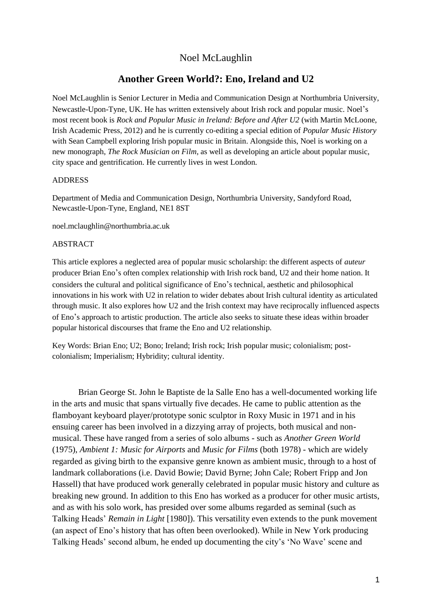# Noel McLaughlin

# **Another Green World?: Eno, Ireland and U2**

Noel McLaughlin is Senior Lecturer in Media and Communication Design at Northumbria University, Newcastle-Upon-Tyne, UK. He has written extensively about Irish rock and popular music. Noel's most recent book is *Rock and Popular Music in Ireland: Before and After U2* (with Martin McLoone, Irish Academic Press, 2012) and he is currently co-editing a special edition of *Popular Music History* with Sean Campbell exploring Irish popular music in Britain. Alongside this, Noel is working on a new monograph, *The Rock Musician on Film*, as well as developing an article about popular music, city space and gentrification. He currently lives in west London.

## ADDRESS

Department of Media and Communication Design, Northumbria University, Sandyford Road, Newcastle-Upon-Tyne, England, NE1 8ST

noel.mclaughlin@northumbria.ac.uk

#### ABSTRACT

This article explores a neglected area of popular music scholarship: the different aspects of *auteur* producer Brian Eno's often complex relationship with Irish rock band, U2 and their home nation. It considers the cultural and political significance of Eno's technical, aesthetic and philosophical innovations in his work with U2 in relation to wider debates about Irish cultural identity as articulated through music. It also explores how U2 and the Irish context may have reciprocally influenced aspects of Eno's approach to artistic production. The article also seeks to situate these ideas within broader popular historical discourses that frame the Eno and U2 relationship.

Key Words: Brian Eno; U2; Bono; Ireland; Irish rock; Irish popular music; colonialism; postcolonialism; Imperialism; Hybridity; cultural identity.

 Brian George St. John le Baptiste de la Salle Eno has a well-documented working life in the arts and music that spans virtually five decades. He came to public attention as the flamboyant keyboard player/prototype sonic sculptor in Roxy Music in 1971 and in his ensuing career has been involved in a dizzying array of projects, both musical and nonmusical. These have ranged from a series of solo albums - such as *Another Green World* (1975), *Ambient 1: Music for Airports* and *Music for Films* (both 1978) - which are widely regarded as giving birth to the expansive genre known as ambient music, through to a host of landmark collaborations (i.e. David Bowie; David Byrne; John Cale; Robert Fripp and Jon Hassell) that have produced work generally celebrated in popular music history and culture as breaking new ground. In addition to this Eno has worked as a producer for other music artists, and as with his solo work, has presided over some albums regarded as seminal (such as Talking Heads' *Remain in Light* [1980]). This versatility even extends to the punk movement (an aspect of Eno's history that has often been overlooked). While in New York producing Talking Heads' second album, he ended up documenting the city's 'No Wave' scene and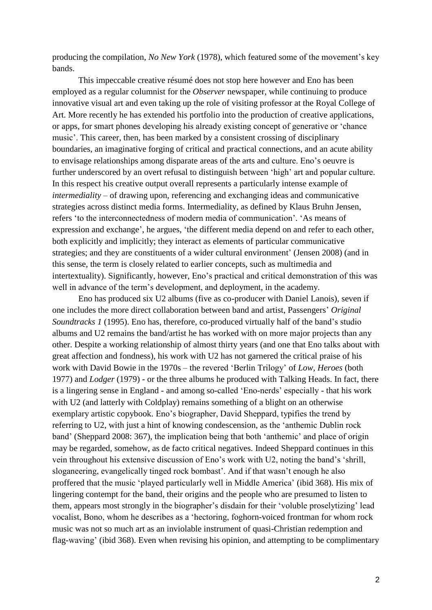producing the compilation, *No New York* (1978), which featured some of the movement's key bands.

This impeccable creative résumé does not stop here however and Eno has been employed as a regular columnist for the *Observer* newspaper, while continuing to produce innovative visual art and even taking up the role of visiting professor at the Royal College of Art. More recently he has extended his portfolio into the production of creative applications, or apps, for smart phones developing his already existing concept of generative or 'chance music'. This career, then, has been marked by a consistent crossing of disciplinary boundaries, an imaginative forging of critical and practical connections, and an acute ability to envisage relationships among disparate areas of the arts and culture. Eno's oeuvre is further underscored by an overt refusal to distinguish between 'high' art and popular culture. In this respect his creative output overall represents a particularly intense example of *intermediality* – of drawing upon, referencing and exchanging ideas and communicative strategies across distinct media forms. Intermediality, as defined by Klaus Bruhn Jensen, refers 'to the interconnectedness of modern media of communication'. 'As means of expression and exchange', he argues, 'the different media depend on and refer to each other, both explicitly and implicitly; they interact as elements of particular communicative strategies; and they are constituents of a wider cultural environment' (Jensen 2008) (and in this sense, the term is closely related to earlier concepts, such as multimedia and intertextuality). Significantly, however, Eno's practical and critical demonstration of this was well in advance of the term's development, and deployment, in the academy.

Eno has produced six U2 albums (five as co-producer with Daniel Lanois), seven if one includes the more direct collaboration between band and artist, Passengers' *Original Soundtracks 1* (1995). Eno has, therefore, co-produced virtually half of the band's studio albums and U2 remains the band/artist he has worked with on more major projects than any other. Despite a working relationship of almost thirty years (and one that Eno talks about with great affection and fondness), his work with U2 has not garnered the critical praise of his work with David Bowie in the 1970s – the revered 'Berlin Trilogy' of *Low*, *Heroes* (both 1977) and *Lodger* (1979) - or the three albums he produced with Talking Heads. In fact, there is a lingering sense in England - and among so-called 'Eno-nerds' especially - that his work with U2 (and latterly with Coldplay) remains something of a blight on an otherwise exemplary artistic copybook. Eno's biographer, David Sheppard, typifies the trend by referring to U2, with just a hint of knowing condescension, as the 'anthemic Dublin rock band' (Sheppard 2008: 367), the implication being that both 'anthemic' and place of origin may be regarded, somehow, as de facto critical negatives. Indeed Sheppard continues in this vein throughout his extensive discussion of Eno's work with U2, noting the band's 'shrill, sloganeering, evangelically tinged rock bombast'. And if that wasn't enough he also proffered that the music 'played particularly well in Middle America' (ibid 368). His mix of lingering contempt for the band, their origins and the people who are presumed to listen to them, appears most strongly in the biographer's disdain for their 'voluble proselytizing' lead vocalist, Bono, whom he describes as a 'hectoring, foghorn-voiced frontman for whom rock music was not so much art as an inviolable instrument of quasi-Christian redemption and flag-waving' (ibid 368). Even when revising his opinion, and attempting to be complimentary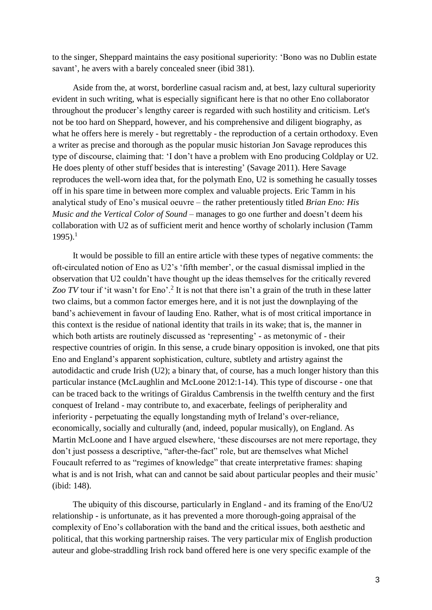to the singer, Sheppard maintains the easy positional superiority: 'Bono was no Dublin estate savant', he avers with a barely concealed sneer (ibid 381).

Aside from the, at worst, borderline casual racism and, at best, lazy cultural superiority evident in such writing, what is especially significant here is that no other Eno collaborator throughout the producer's lengthy career is regarded with such hostility and criticism. Let's not be too hard on Sheppard, however, and his comprehensive and diligent biography, as what he offers here is merely - but regrettably - the reproduction of a certain orthodoxy. Even a writer as precise and thorough as the popular music historian Jon Savage reproduces this type of discourse, claiming that: 'I don't have a problem with Eno producing Coldplay or U2. He does plenty of other stuff besides that is interesting' (Savage 2011). Here Savage reproduces the well-worn idea that, for the polymath Eno, U2 is something he casually tosses off in his spare time in between more complex and valuable projects. Eric Tamm in his analytical study of Eno's musical oeuvre – the rather pretentiously titled *Brian Eno: His Music and the Vertical Color of Sound* – manages to go one further and doesn't deem his collaboration with U2 as of sufficient merit and hence worthy of scholarly inclusion (Tamm 1995). 1

It would be possible to fill an entire article with these types of negative comments: the oft-circulated notion of Eno as U2's 'fifth member', or the casual dismissal implied in the observation that U2 couldn't have thought up the ideas themselves for the critically revered Zoo TV tour if 'it wasn't for Eno'.<sup>2</sup> It is not that there isn't a grain of the truth in these latter two claims, but a common factor emerges here, and it is not just the downplaying of the band's achievement in favour of lauding Eno. Rather, what is of most critical importance in this context is the residue of national identity that trails in its wake; that is, the manner in which both artists are routinely discussed as 'representing' - as metonymic of - their respective countries of origin. In this sense, a crude binary opposition is invoked, one that pits Eno and England's apparent sophistication, culture, subtlety and artistry against the autodidactic and crude Irish (U2); a binary that, of course, has a much longer history than this particular instance (McLaughlin and McLoone 2012:1-14). This type of discourse - one that can be traced back to the writings of Giraldus Cambrensis in the twelfth century and the first conquest of Ireland - may contribute to, and exacerbate, feelings of peripherality and inferiority - perpetuating the equally longstanding myth of Ireland's over-reliance, economically, socially and culturally (and, indeed, popular musically), on England. As Martin McLoone and I have argued elsewhere, 'these discourses are not mere reportage, they don't just possess a descriptive, "after-the-fact" role, but are themselves what Michel Foucault referred to as "regimes of knowledge" that create interpretative frames: shaping what is and is not Irish, what can and cannot be said about particular peoples and their music' (ibid: 148).

The ubiquity of this discourse, particularly in England - and its framing of the Eno/U2 relationship - is unfortunate, as it has prevented a more thorough-going appraisal of the complexity of Eno's collaboration with the band and the critical issues, both aesthetic and political, that this working partnership raises. The very particular mix of English production auteur and globe-straddling Irish rock band offered here is one very specific example of the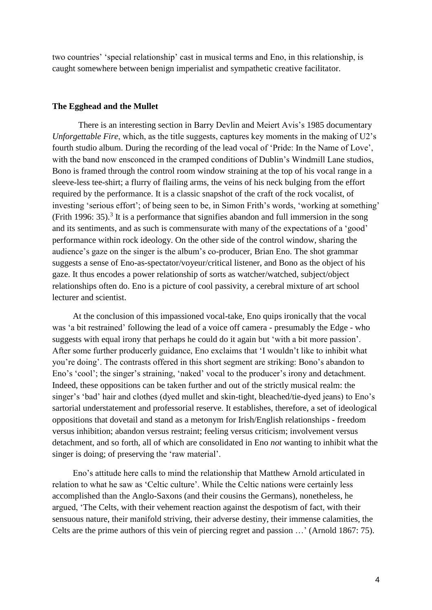two countries' 'special relationship' cast in musical terms and Eno, in this relationship, is caught somewhere between benign imperialist and sympathetic creative facilitator.

#### **The Egghead and the Mullet**

There is an interesting section in Barry Devlin and Meiert Avis's 1985 documentary *Unforgettable Fire*, which, as the title suggests, captures key moments in the making of U2's fourth studio album. During the recording of the lead vocal of 'Pride: In the Name of Love', with the band now ensconced in the cramped conditions of Dublin's Windmill Lane studios, Bono is framed through the control room window straining at the top of his vocal range in a sleeve-less tee-shirt; a flurry of flailing arms, the veins of his neck bulging from the effort required by the performance. It is a classic snapshot of the craft of the rock vocalist, of investing 'serious effort'; of being seen to be, in Simon Frith's words, 'working at something' (Frith 1996: 35). 3 It is a performance that signifies abandon and full immersion in the song and its sentiments, and as such is commensurate with many of the expectations of a 'good' performance within rock ideology. On the other side of the control window, sharing the audience's gaze on the singer is the album's co-producer, Brian Eno. The shot grammar suggests a sense of Eno-as-spectator/voyeur/critical listener, and Bono as the object of his gaze. It thus encodes a power relationship of sorts as watcher/watched, subject/object relationships often do. Eno is a picture of cool passivity, a cerebral mixture of art school lecturer and scientist.

At the conclusion of this impassioned vocal-take, Eno quips ironically that the vocal was 'a bit restrained' following the lead of a voice off camera - presumably the Edge - who suggests with equal irony that perhaps he could do it again but 'with a bit more passion'. After some further producerly guidance, Eno exclaims that 'I wouldn't like to inhibit what you're doing'. The contrasts offered in this short segment are striking: Bono's abandon to Eno's 'cool'; the singer's straining, 'naked' vocal to the producer's irony and detachment. Indeed, these oppositions can be taken further and out of the strictly musical realm: the singer's 'bad' hair and clothes (dyed mullet and skin-tight, bleached/tie-dyed jeans) to Eno's sartorial understatement and professorial reserve. It establishes, therefore, a set of ideological oppositions that dovetail and stand as a metonym for Irish/English relationships - freedom versus inhibition; abandon versus restraint; feeling versus criticism; involvement versus detachment, and so forth, all of which are consolidated in Eno *not* wanting to inhibit what the singer is doing; of preserving the 'raw material'.

Eno's attitude here calls to mind the relationship that Matthew Arnold articulated in relation to what he saw as 'Celtic culture'. While the Celtic nations were certainly less accomplished than the Anglo-Saxons (and their cousins the Germans), nonetheless, he argued, 'The Celts, with their vehement reaction against the despotism of fact, with their sensuous nature, their manifold striving, their adverse destiny, their immense calamities, the Celts are the prime authors of this vein of piercing regret and passion …' (Arnold 1867: 75).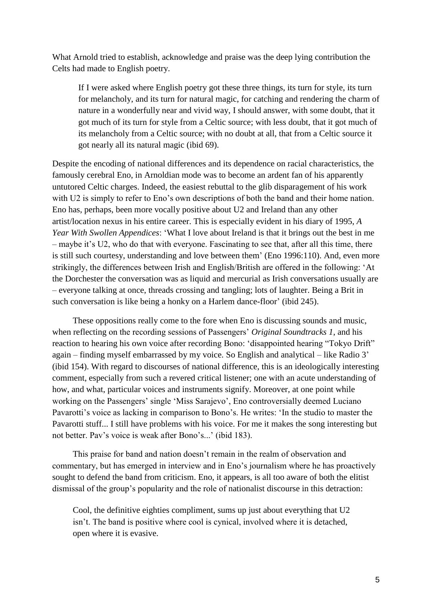What Arnold tried to establish, acknowledge and praise was the deep lying contribution the Celts had made to English poetry.

If I were asked where English poetry got these three things, its turn for style, its turn for melancholy, and its turn for natural magic, for catching and rendering the charm of nature in a wonderfully near and vivid way, I should answer, with some doubt, that it got much of its turn for style from a Celtic source; with less doubt, that it got much of its melancholy from a Celtic source; with no doubt at all, that from a Celtic source it got nearly all its natural magic (ibid 69).

Despite the encoding of national differences and its dependence on racial characteristics, the famously cerebral Eno, in Arnoldian mode was to become an ardent fan of his apparently untutored Celtic charges. Indeed, the easiest rebuttal to the glib disparagement of his work with U2 is simply to refer to Eno's own descriptions of both the band and their home nation. Eno has, perhaps, been more vocally positive about U2 and Ireland than any other artist/location nexus in his entire career. This is especially evident in his diary of 1995, *A Year With Swollen Appendices*: 'What I love about Ireland is that it brings out the best in me – maybe it's U2, who do that with everyone. Fascinating to see that, after all this time, there is still such courtesy, understanding and love between them' (Eno 1996:110). And, even more strikingly, the differences between Irish and English/British are offered in the following: 'At the Dorchester the conversation was as liquid and mercurial as Irish conversations usually are – everyone talking at once, threads crossing and tangling; lots of laughter. Being a Brit in such conversation is like being a honky on a Harlem dance-floor' (ibid 245).

These oppositions really come to the fore when Eno is discussing sounds and music, when reflecting on the recording sessions of Passengers' *Original Soundtracks 1*, and his reaction to hearing his own voice after recording Bono: 'disappointed hearing "Tokyo Drift" again – finding myself embarrassed by my voice. So English and analytical – like Radio 3' (ibid 154). With regard to discourses of national difference, this is an ideologically interesting comment, especially from such a revered critical listener; one with an acute understanding of how, and what, particular voices and instruments signify. Moreover, at one point while working on the Passengers' single 'Miss Sarajevo', Eno controversially deemed Luciano Pavarotti's voice as lacking in comparison to Bono's. He writes: 'In the studio to master the Pavarotti stuff... I still have problems with his voice. For me it makes the song interesting but not better. Pav's voice is weak after Bono's...' (ibid 183).

This praise for band and nation doesn't remain in the realm of observation and commentary, but has emerged in interview and in Eno's journalism where he has proactively sought to defend the band from criticism. Eno, it appears, is all too aware of both the elitist dismissal of the group's popularity and the role of nationalist discourse in this detraction:

Cool, the definitive eighties compliment, sums up just about everything that U2 isn't. The band is positive where cool is cynical, involved where it is detached, open where it is evasive.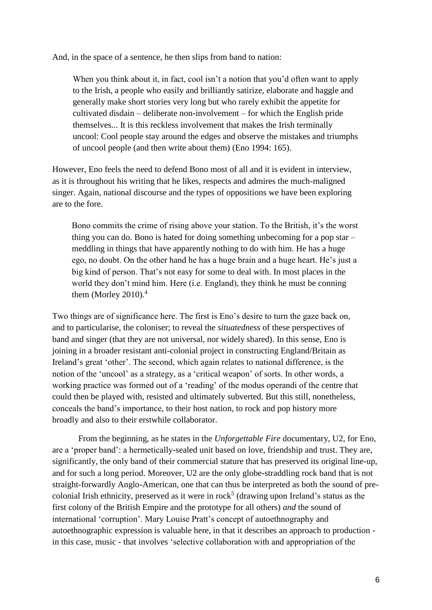And, in the space of a sentence, he then slips from band to nation:

When you think about it, in fact, cool isn't a notion that you'd often want to apply to the Irish, a people who easily and brilliantly satirize, elaborate and haggle and generally make short stories very long but who rarely exhibit the appetite for cultivated disdain – deliberate non-involvement – for which the English pride themselves... It is this reckless involvement that makes the Irish terminally uncool: Cool people stay around the edges and observe the mistakes and triumphs of uncool people (and then write about them) (Eno 1994: 165).

However, Eno feels the need to defend Bono most of all and it is evident in interview, as it is throughout his writing that he likes, respects and admires the much-maligned singer. Again, national discourse and the types of oppositions we have been exploring are to the fore.

Bono commits the crime of rising above your station. To the British, it's the worst thing you can do. Bono is hated for doing something unbecoming for a pop star – meddling in things that have apparently nothing to do with him. He has a huge ego, no doubt. On the other hand he has a huge brain and a huge heart. He's just a big kind of person. That's not easy for some to deal with. In most places in the world they don't mind him. Here (i.e. England), they think he must be conning them (Morley 2010). 4

Two things are of significance here. The first is Eno's desire to turn the gaze back on, and to particularise, the coloniser; to reveal the *situatedness* of these perspectives of band and singer (that they are not universal, nor widely shared). In this sense, Eno is joining in a broader resistant anti-colonial project in constructing England/Britain as Ireland's great 'other'. The second, which again relates to national difference, is the notion of the 'uncool' as a strategy, as a 'critical weapon' of sorts. In other words, a working practice was formed out of a 'reading' of the modus operandi of the centre that could then be played with, resisted and ultimately subverted. But this still, nonetheless, conceals the band's importance, to their host nation, to rock and pop history more broadly and also to their erstwhile collaborator.

From the beginning, as he states in the *Unforgettable Fire* documentary, U2, for Eno, are a 'proper band': a hermetically-sealed unit based on love, friendship and trust. They are, significantly, the only band of their commercial stature that has preserved its original line-up, and for such a long period. Moreover, U2 are the only globe-straddling rock band that is not straight-forwardly Anglo-American, one that can thus be interpreted as both the sound of precolonial Irish ethnicity, preserved as it were in rock<sup>5</sup> (drawing upon Ireland's status as the first colony of the British Empire and the prototype for all others) *and* the sound of international 'corruption'. Mary Louise Pratt's concept of autoethnography and autoethnographic expression is valuable here, in that it describes an approach to production in this case, music - that involves 'selective collaboration with and appropriation of the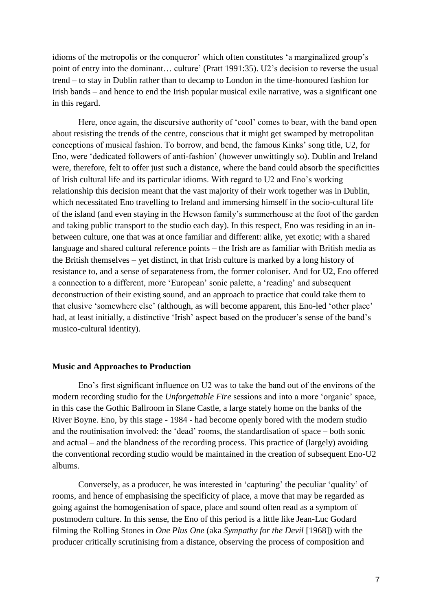idioms of the metropolis or the conqueror' which often constitutes 'a marginalized group's point of entry into the dominant… culture' (Pratt 1991:35). U2's decision to reverse the usual trend – to stay in Dublin rather than to decamp to London in the time-honoured fashion for Irish bands – and hence to end the Irish popular musical exile narrative, was a significant one in this regard.

Here, once again, the discursive authority of 'cool' comes to bear, with the band open about resisting the trends of the centre, conscious that it might get swamped by metropolitan conceptions of musical fashion. To borrow, and bend, the famous Kinks' song title, U2, for Eno, were 'dedicated followers of anti-fashion' (however unwittingly so). Dublin and Ireland were, therefore, felt to offer just such a distance, where the band could absorb the specificities of Irish cultural life and its particular idioms. With regard to U2 and Eno's working relationship this decision meant that the vast majority of their work together was in Dublin, which necessitated Eno travelling to Ireland and immersing himself in the socio-cultural life of the island (and even staying in the Hewson family's summerhouse at the foot of the garden and taking public transport to the studio each day). In this respect, Eno was residing in an inbetween culture, one that was at once familiar and different: alike, yet exotic; with a shared language and shared cultural reference points – the Irish are as familiar with British media as the British themselves – yet distinct, in that Irish culture is marked by a long history of resistance to, and a sense of separateness from, the former coloniser. And for U2, Eno offered a connection to a different, more 'European' sonic palette, a 'reading' and subsequent deconstruction of their existing sound, and an approach to practice that could take them to that elusive 'somewhere else' (although, as will become apparent, this Eno-led 'other place' had, at least initially, a distinctive 'Irish' aspect based on the producer's sense of the band's musico-cultural identity).

#### **Music and Approaches to Production**

Eno's first significant influence on U2 was to take the band out of the environs of the modern recording studio for the *Unforgettable Fire* sessions and into a more 'organic' space, in this case the Gothic Ballroom in Slane Castle, a large stately home on the banks of the River Boyne. Eno, by this stage - 1984 - had become openly bored with the modern studio and the routinisation involved: the 'dead' rooms, the standardisation of space – both sonic and actual – and the blandness of the recording process. This practice of (largely) avoiding the conventional recording studio would be maintained in the creation of subsequent Eno-U2 albums.

Conversely, as a producer, he was interested in 'capturing' the peculiar 'quality' of rooms, and hence of emphasising the specificity of place, a move that may be regarded as going against the homogenisation of space, place and sound often read as a symptom of postmodern culture. In this sense, the Eno of this period is a little like Jean-Luc Godard filming the Rolling Stones in *One Plus One* (aka *Sympathy for the Devil* [1968]) with the producer critically scrutinising from a distance, observing the process of composition and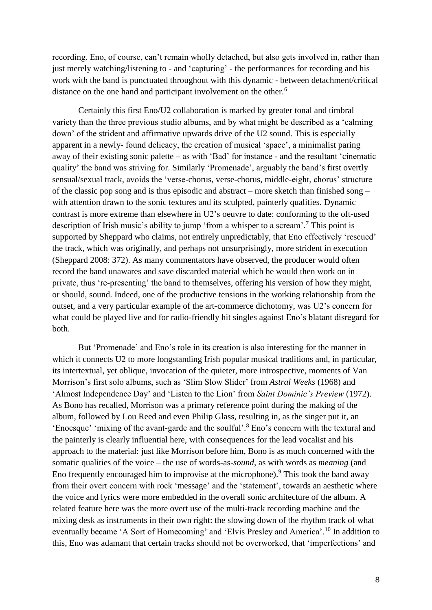recording. Eno, of course, can't remain wholly detached, but also gets involved in, rather than just merely watching/listening to - and 'capturing' - the performances for recording and his work with the band is punctuated throughout with this dynamic - between detachment/critical distance on the one hand and participant involvement on the other.<sup>6</sup>

Certainly this first Eno/U2 collaboration is marked by greater tonal and timbral variety than the three previous studio albums, and by what might be described as a 'calming down' of the strident and affirmative upwards drive of the U2 sound. This is especially apparent in a newly- found delicacy, the creation of musical 'space', a minimalist paring away of their existing sonic palette – as with 'Bad' for instance - and the resultant 'cinematic quality' the band was striving for. Similarly 'Promenade', arguably the band's first overtly sensual/sexual track, avoids the 'verse-chorus, verse-chorus, middle-eight, chorus' structure of the classic pop song and is thus episodic and abstract – more sketch than finished song – with attention drawn to the sonic textures and its sculpted, painterly qualities. Dynamic contrast is more extreme than elsewhere in U2's oeuvre to date: conforming to the oft-used description of Irish music's ability to jump 'from a whisper to a scream'.<sup>7</sup> This point is supported by Sheppard who claims, not entirely unpredictably, that Eno effectively 'rescued' the track, which was originally, and perhaps not unsurprisingly, more strident in execution (Sheppard 2008: 372). As many commentators have observed, the producer would often record the band unawares and save discarded material which he would then work on in private, thus 're-presenting' the band to themselves, offering his version of how they might, or should, sound. Indeed, one of the productive tensions in the working relationship from the outset, and a very particular example of the art-commerce dichotomy, was U2's concern for what could be played live and for radio-friendly hit singles against Eno's blatant disregard for both.

But 'Promenade' and Eno's role in its creation is also interesting for the manner in which it connects U2 to more longstanding Irish popular musical traditions and, in particular, its intertextual, yet oblique, invocation of the quieter, more introspective, moments of Van Morrison's first solo albums, such as 'Slim Slow Slider' from *Astral Weeks* (1968) and 'Almost Independence Day' and 'Listen to the Lion' from *Saint Dominic's Preview* (1972). As Bono has recalled, Morrison was a primary reference point during the making of the album, followed by Lou Reed and even Philip Glass, resulting in, as the singer put it, an 'Enoesque' 'mixing of the avant-garde and the soulful'.<sup>8</sup> Eno's concern with the textural and the painterly is clearly influential here, with consequences for the lead vocalist and his approach to the material: just like Morrison before him, Bono is as much concerned with the somatic qualities of the voice – the use of words-as-*sound*, as with words as *meaning* (and Eno frequently encouraged him to improvise at the microphone).<sup>9</sup> This took the band away from their overt concern with rock 'message' and the 'statement', towards an aesthetic where the voice and lyrics were more embedded in the overall sonic architecture of the album. A related feature here was the more overt use of the multi-track recording machine and the mixing desk as instruments in their own right: the slowing down of the rhythm track of what eventually became 'A Sort of Homecoming' and 'Elvis Presley and America'.<sup>10</sup> In addition to this, Eno was adamant that certain tracks should not be overworked, that 'imperfections' and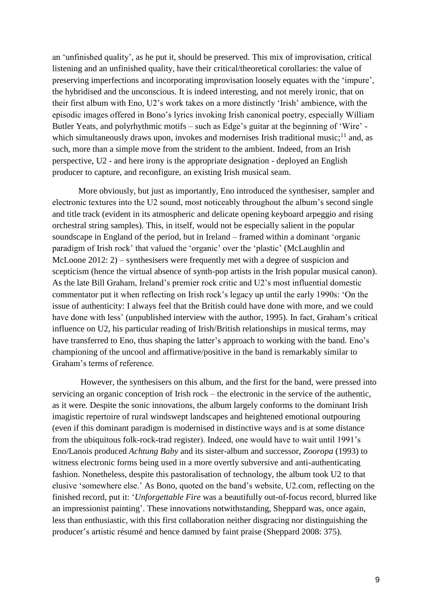an 'unfinished quality', as he put it, should be preserved. This mix of improvisation, critical listening and an unfinished quality, have their critical/theoretical corollaries: the value of preserving imperfections and incorporating improvisation loosely equates with the 'impure', the hybridised and the unconscious. It is indeed interesting, and not merely ironic, that on their first album with Eno, U2's work takes on a more distinctly 'Irish' ambience, with the episodic images offered in Bono's lyrics invoking Irish canonical poetry, especially William Butler Yeats, and polyrhythmic motifs – such as Edge's guitar at the beginning of 'Wire' which simultaneously draws upon, invokes and modernises Irish traditional music; $^{11}$  and, as such, more than a simple move from the strident to the ambient. Indeed, from an Irish perspective, U2 - and here irony is the appropriate designation - deployed an English producer to capture, and reconfigure, an existing Irish musical seam.

More obviously, but just as importantly, Eno introduced the synthesiser, sampler and electronic textures into the U2 sound, most noticeably throughout the album's second single and title track (evident in its atmospheric and delicate opening keyboard arpeggio and rising orchestral string samples). This, in itself, would not be especially salient in the popular soundscape in England of the period, but in Ireland – framed within a dominant 'organic paradigm of Irish rock' that valued the 'organic' over the 'plastic' (McLaughlin and McLoone 2012: 2) – synthesisers were frequently met with a degree of suspicion and scepticism (hence the virtual absence of synth-pop artists in the Irish popular musical canon). As the late Bill Graham, Ireland's premier rock critic and U2's most influential domestic commentator put it when reflecting on Irish rock's legacy up until the early 1990s: 'On the issue of authenticity: I always feel that the British could have done with more, and we could have done with less' (unpublished interview with the author, 1995). In fact, Graham's critical influence on U2, his particular reading of Irish/British relationships in musical terms, may have transferred to Eno, thus shaping the latter's approach to working with the band. Eno's championing of the uncool and affirmative/positive in the band is remarkably similar to Graham's terms of reference.

However, the synthesisers on this album, and the first for the band, were pressed into servicing an organic conception of Irish rock – the electronic in the service of the authentic, as it were. Despite the sonic innovations, the album largely conforms to the dominant Irish imagistic repertoire of rural windswept landscapes and heightened emotional outpouring (even if this dominant paradigm is modernised in distinctive ways and is at some distance from the ubiquitous folk-rock-trad register). Indeed, one would have to wait until 1991's Eno/Lanois produced *Achtung Baby* and its sister-album and successor, *Zooropa* (1993) to witness electronic forms being used in a more overtly subversive and anti-authenticating fashion. Nonetheless, despite this pastoralisation of technology, the album took U2 to that elusive 'somewhere else.' As Bono, quoted on the band's website, U2.com, reflecting on the finished record, put it: '*Unforgettable Fire* was a beautifully out-of-focus record, blurred like an impressionist painting'. These innovations notwithstanding, Sheppard was, once again, less than enthusiastic, with this first collaboration neither disgracing nor distinguishing the producer's artistic résumé and hence damned by faint praise (Sheppard 2008: 375).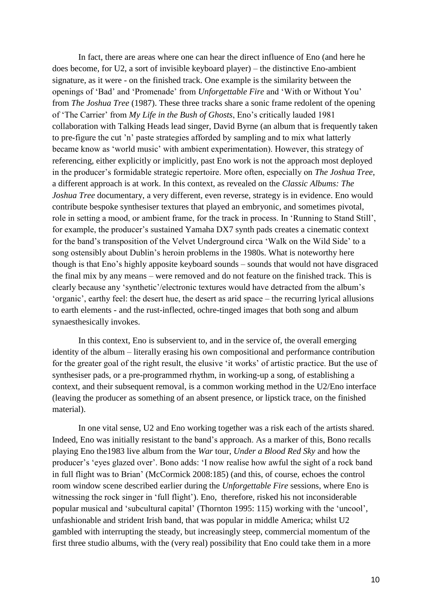In fact, there are areas where one can hear the direct influence of Eno (and here he does become, for U2, a sort of invisible keyboard player) – the distinctive Eno-ambient signature, as it were - on the finished track. One example is the similarity between the openings of 'Bad' and 'Promenade' from *Unforgettable Fire* and 'With or Without You' from *The Joshua Tree* (1987). These three tracks share a sonic frame redolent of the opening of 'The Carrier' from *My Life in the Bush of Ghosts*, Eno's critically lauded 1981 collaboration with Talking Heads lead singer, David Byrne (an album that is frequently taken to pre-figure the cut 'n' paste strategies afforded by sampling and to mix what latterly became know as 'world music' with ambient experimentation). However, this strategy of referencing, either explicitly or implicitly, past Eno work is not the approach most deployed in the producer's formidable strategic repertoire. More often, especially on *The Joshua Tree*, a different approach is at work. In this context, as revealed on the *Classic Albums: The Joshua Tree* documentary, a very different, even reverse, strategy is in evidence. Eno would contribute bespoke synthesiser textures that played an embryonic, and sometimes pivotal, role in setting a mood, or ambient frame, for the track in process. In 'Running to Stand Still', for example, the producer's sustained Yamaha DX7 synth pads creates a cinematic context for the band's transposition of the Velvet Underground circa 'Walk on the Wild Side' to a song ostensibly about Dublin's heroin problems in the 1980s. What is noteworthy here though is that Eno's highly apposite keyboard sounds – sounds that would not have disgraced the final mix by any means – were removed and do not feature on the finished track. This is clearly because any 'synthetic'/electronic textures would have detracted from the album's 'organic', earthy feel: the desert hue, the desert as arid space – the recurring lyrical allusions to earth elements - and the rust-inflected, ochre-tinged images that both song and album synaesthesically invokes.

In this context, Eno is subservient to, and in the service of, the overall emerging identity of the album – literally erasing his own compositional and performance contribution for the greater goal of the right result, the elusive 'it works' of artistic practice. But the use of synthesiser pads, or a pre-programmed rhythm, in working-up a song, of establishing a context, and their subsequent removal, is a common working method in the U2/Eno interface (leaving the producer as something of an absent presence, or lipstick trace, on the finished material).

In one vital sense, U2 and Eno working together was a risk each of the artists shared. Indeed, Eno was initially resistant to the band's approach. As a marker of this, Bono recalls playing Eno the1983 live album from the *War* tour, *Under a Blood Red Sky* and how the producer's 'eyes glazed over'. Bono adds: 'I now realise how awful the sight of a rock band in full flight was to Brian' (McCormick 2008:185) (and this, of course, echoes the control room window scene described earlier during the *Unforgettable Fire* sessions, where Eno is witnessing the rock singer in 'full flight'). Eno, therefore, risked his not inconsiderable popular musical and 'subcultural capital' (Thornton 1995: 115) working with the 'uncool', unfashionable and strident Irish band, that was popular in middle America; whilst U2 gambled with interrupting the steady, but increasingly steep, commercial momentum of the first three studio albums, with the (very real) possibility that Eno could take them in a more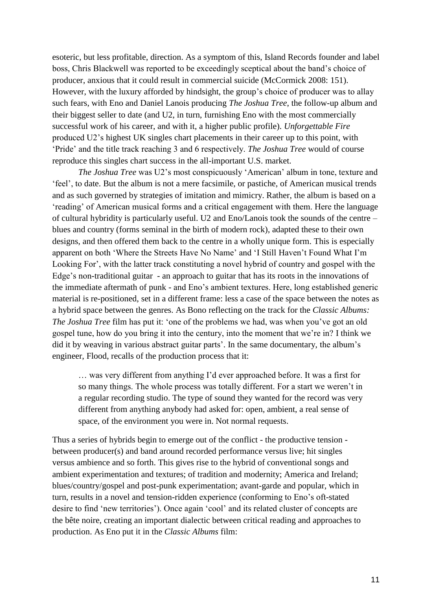esoteric, but less profitable, direction. As a symptom of this, Island Records founder and label boss, Chris Blackwell was reported to be exceedingly sceptical about the band's choice of producer, anxious that it could result in commercial suicide (McCormick 2008: 151). However, with the luxury afforded by hindsight, the group's choice of producer was to allay such fears, with Eno and Daniel Lanois producing *The Joshua Tree*, the follow-up album and their biggest seller to date (and U2, in turn, furnishing Eno with the most commercially successful work of his career, and with it, a higher public profile). *Unforgettable Fire* produced U2's highest UK singles chart placements in their career up to this point, with 'Pride' and the title track reaching 3 and 6 respectively. *The Joshua Tree* would of course reproduce this singles chart success in the all-important U.S. market.

*The Joshua Tree* was U2's most conspicuously 'American' album in tone, texture and 'feel', to date. But the album is not a mere facsimile, or pastiche, of American musical trends and as such governed by strategies of imitation and mimicry. Rather, the album is based on a 'reading' of American musical forms and a critical engagement with them. Here the language of cultural hybridity is particularly useful. U2 and Eno/Lanois took the sounds of the centre – blues and country (forms seminal in the birth of modern rock), adapted these to their own designs, and then offered them back to the centre in a wholly unique form. This is especially apparent on both 'Where the Streets Have No Name' and 'I Still Haven't Found What I'm Looking For', with the latter track constituting a novel hybrid of country and gospel with the Edge's non-traditional guitar - an approach to guitar that has its roots in the innovations of the immediate aftermath of punk - and Eno's ambient textures. Here, long established generic material is re-positioned, set in a different frame: less a case of the space between the notes as a hybrid space between the genres. As Bono reflecting on the track for the *Classic Albums: The Joshua Tree* film has put it: 'one of the problems we had, was when you've got an old gospel tune, how do you bring it into the century, into the moment that we're in? I think we did it by weaving in various abstract guitar parts'. In the same documentary, the album's engineer, Flood, recalls of the production process that it:

… was very different from anything I'd ever approached before. It was a first for so many things. The whole process was totally different. For a start we weren't in a regular recording studio. The type of sound they wanted for the record was very different from anything anybody had asked for: open, ambient, a real sense of space, of the environment you were in. Not normal requests.

Thus a series of hybrids begin to emerge out of the conflict - the productive tension between producer(s) and band around recorded performance versus live; hit singles versus ambience and so forth. This gives rise to the hybrid of conventional songs and ambient experimentation and textures; of tradition and modernity; America and Ireland; blues/country/gospel and post-punk experimentation; avant-garde and popular, which in turn, results in a novel and tension-ridden experience (conforming to Eno's oft-stated desire to find 'new territories'). Once again 'cool' and its related cluster of concepts are the bête noire, creating an important dialectic between critical reading and approaches to production. As Eno put it in the *Classic Albums* film: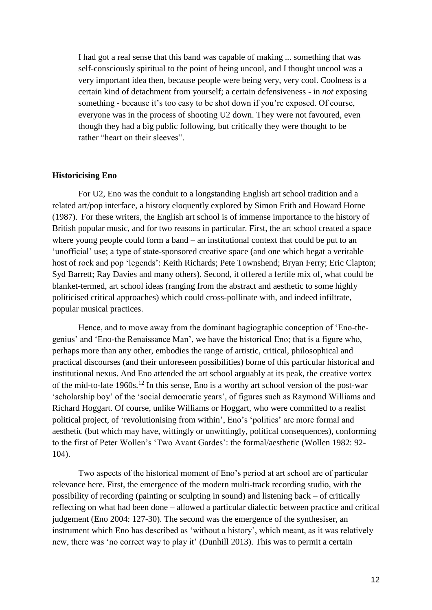I had got a real sense that this band was capable of making ... something that was self-consciously spiritual to the point of being uncool, and I thought uncool was a very important idea then, because people were being very, very cool. Coolness is a certain kind of detachment from yourself; a certain defensiveness - in *not* exposing something - because it's too easy to be shot down if you're exposed. Of course, everyone was in the process of shooting U2 down. They were not favoured, even though they had a big public following, but critically they were thought to be rather "heart on their sleeves".

## **Historicising Eno**

For U2, Eno was the conduit to a longstanding English art school tradition and a related art/pop interface, a history eloquently explored by Simon Frith and Howard Horne (1987). For these writers, the English art school is of immense importance to the history of British popular music, and for two reasons in particular. First, the art school created a space where young people could form a band – an institutional context that could be put to an 'unofficial' use; a type of state-sponsored creative space (and one which begat a veritable host of rock and pop 'legends': Keith Richards; Pete Townshend; Bryan Ferry; Eric Clapton; Syd Barrett; Ray Davies and many others). Second, it offered a fertile mix of, what could be blanket-termed, art school ideas (ranging from the abstract and aesthetic to some highly politicised critical approaches) which could cross-pollinate with, and indeed infiltrate, popular musical practices.

Hence, and to move away from the dominant hagiographic conception of 'Eno-thegenius' and 'Eno-the Renaissance Man', we have the historical Eno; that is a figure who, perhaps more than any other, embodies the range of artistic, critical, philosophical and practical discourses (and their unforeseen possibilities) borne of this particular historical and institutional nexus. And Eno attended the art school arguably at its peak, the creative vortex of the mid-to-late  $1960s$ <sup>12</sup> In this sense. Eno is a worthy art school version of the post-war 'scholarship boy' of the 'social democratic years', of figures such as Raymond Williams and Richard Hoggart. Of course, unlike Williams or Hoggart, who were committed to a realist political project, of 'revolutionising from within', Eno's 'politics' are more formal and aesthetic (but which may have, wittingly or unwittingly, political consequences), conforming to the first of Peter Wollen's 'Two Avant Gardes': the formal/aesthetic (Wollen 1982: 92- 104).

Two aspects of the historical moment of Eno's period at art school are of particular relevance here. First, the emergence of the modern multi-track recording studio, with the possibility of recording (painting or sculpting in sound) and listening back – of critically reflecting on what had been done – allowed a particular dialectic between practice and critical judgement (Eno 2004: 127-30). The second was the emergence of the synthesiser, an instrument which Eno has described as 'without a history', which meant, as it was relatively new, there was 'no correct way to play it' (Dunhill 2013). This was to permit a certain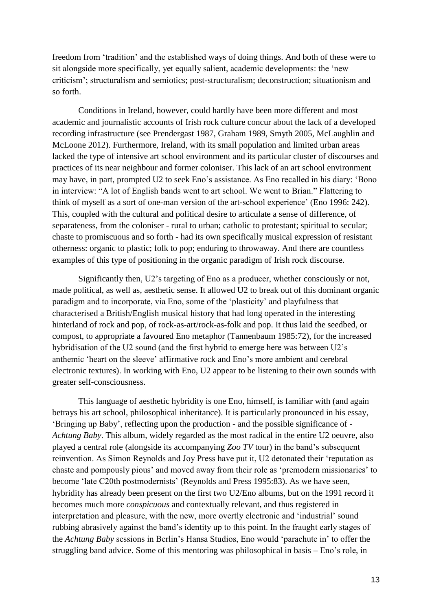freedom from 'tradition' and the established ways of doing things. And both of these were to sit alongside more specifically, yet equally salient, academic developments: the 'new criticism'; structuralism and semiotics; post-structuralism; deconstruction; situationism and so forth.

Conditions in Ireland, however, could hardly have been more different and most academic and journalistic accounts of Irish rock culture concur about the lack of a developed recording infrastructure (see Prendergast 1987, Graham 1989, Smyth 2005, McLaughlin and McLoone 2012). Furthermore, Ireland, with its small population and limited urban areas lacked the type of intensive art school environment and its particular cluster of discourses and practices of its near neighbour and former coloniser. This lack of an art school environment may have, in part, prompted U2 to seek Eno's assistance. As Eno recalled in his diary: 'Bono in interview: "A lot of English bands went to art school. We went to Brian." Flattering to think of myself as a sort of one-man version of the art-school experience' (Eno 1996: 242). This, coupled with the cultural and political desire to articulate a sense of difference, of separateness, from the coloniser - rural to urban; catholic to protestant; spiritual to secular; chaste to promiscuous and so forth - had its own specifically musical expression of resistant otherness: organic to plastic; folk to pop; enduring to throwaway. And there are countless examples of this type of positioning in the organic paradigm of Irish rock discourse.

Significantly then, U2's targeting of Eno as a producer, whether consciously or not, made political, as well as, aesthetic sense. It allowed U2 to break out of this dominant organic paradigm and to incorporate, via Eno, some of the 'plasticity' and playfulness that characterised a British/English musical history that had long operated in the interesting hinterland of rock and pop, of rock-as-art/rock-as-folk and pop. It thus laid the seedbed, or compost, to appropriate a favoured Eno metaphor (Tannenbaum 1985:72), for the increased hybridisation of the U2 sound (and the first hybrid to emerge here was between U2's anthemic 'heart on the sleeve' affirmative rock and Eno's more ambient and cerebral electronic textures). In working with Eno, U2 appear to be listening to their own sounds with greater self-consciousness.

This language of aesthetic hybridity is one Eno, himself, is familiar with (and again betrays his art school, philosophical inheritance). It is particularly pronounced in his essay, 'Bringing up Baby', reflecting upon the production - and the possible significance of - *Achtung Baby*. This album, widely regarded as the most radical in the entire U2 oeuvre, also played a central role (alongside its accompanying *Zoo TV* tour) in the band's subsequent reinvention. As Simon Reynolds and Joy Press have put it, U2 detonated their 'reputation as chaste and pompously pious' and moved away from their role as 'premodern missionaries' to become 'late C20th postmodernists' (Reynolds and Press 1995:83). As we have seen, hybridity has already been present on the first two U2/Eno albums, but on the 1991 record it becomes much more *conspicuous* and contextually relevant, and thus registered in interpretation and pleasure, with the new, more overtly electronic and 'industrial' sound rubbing abrasively against the band's identity up to this point. In the fraught early stages of the *Achtung Baby* sessions in Berlin's Hansa Studios, Eno would 'parachute in' to offer the struggling band advice. Some of this mentoring was philosophical in basis – Eno's role, in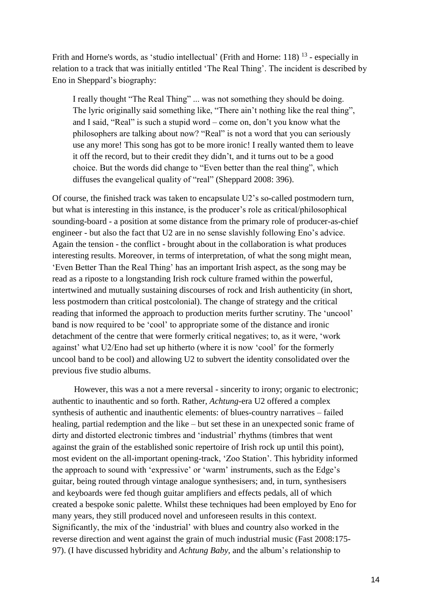Frith and Horne's words, as 'studio intellectual' (Frith and Horne:  $118$ )  $^{13}$  - especially in relation to a track that was initially entitled 'The Real Thing'. The incident is described by Eno in Sheppard's biography:

I really thought "The Real Thing" ... was not something they should be doing. The lyric originally said something like, "There ain't nothing like the real thing", and I said, "Real" is such a stupid word – come on, don't you know what the philosophers are talking about now? "Real" is not a word that you can seriously use any more! This song has got to be more ironic! I really wanted them to leave it off the record, but to their credit they didn't, and it turns out to be a good choice. But the words did change to "Even better than the real thing", which diffuses the evangelical quality of "real" (Sheppard 2008: 396).

Of course, the finished track was taken to encapsulate U2's so-called postmodern turn, but what is interesting in this instance, is the producer's role as critical/philosophical sounding-board - a position at some distance from the primary role of producer-as-chief engineer - but also the fact that U2 are in no sense slavishly following Eno's advice. Again the tension - the conflict - brought about in the collaboration is what produces interesting results. Moreover, in terms of interpretation, of what the song might mean, 'Even Better Than the Real Thing' has an important Irish aspect, as the song may be read as a riposte to a longstanding Irish rock culture framed within the powerful, intertwined and mutually sustaining discourses of rock and Irish authenticity (in short, less postmodern than critical postcolonial). The change of strategy and the critical reading that informed the approach to production merits further scrutiny. The 'uncool' band is now required to be 'cool' to appropriate some of the distance and ironic detachment of the centre that were formerly critical negatives; to, as it were, 'work against' what U2/Eno had set up hitherto (where it is now 'cool' for the formerly uncool band to be cool) and allowing U2 to subvert the identity consolidated over the previous five studio albums.

 However, this was a not a mere reversal - sincerity to irony; organic to electronic; authentic to inauthentic and so forth. Rather, *Achtung*-era U2 offered a complex synthesis of authentic and inauthentic elements: of blues-country narratives – failed healing, partial redemption and the like – but set these in an unexpected sonic frame of dirty and distorted electronic timbres and 'industrial' rhythms (timbres that went against the grain of the established sonic repertoire of Irish rock up until this point), most evident on the all-important opening-track, 'Zoo Station'. This hybridity informed the approach to sound with 'expressive' or 'warm' instruments, such as the Edge's guitar, being routed through vintage analogue synthesisers; and, in turn, synthesisers and keyboards were fed though guitar amplifiers and effects pedals, all of which created a bespoke sonic palette. Whilst these techniques had been employed by Eno for many years, they still produced novel and unforeseen results in this context. Significantly, the mix of the 'industrial' with blues and country also worked in the reverse direction and went against the grain of much industrial music (Fast 2008:175- 97). (I have discussed hybridity and *Achtung Baby*, and the album's relationship to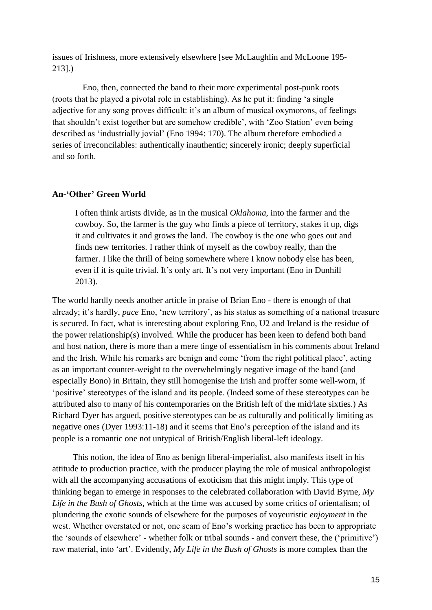issues of Irishness, more extensively elsewhere [see McLaughlin and McLoone 195- 213].)

 Eno, then, connected the band to their more experimental post-punk roots (roots that he played a pivotal role in establishing). As he put it: finding 'a single adjective for any song proves difficult: it's an album of musical oxymorons, of feelings that shouldn't exist together but are somehow credible', with 'Zoo Station' even being described as 'industrially jovial' (Eno 1994: 170). The album therefore embodied a series of irreconcilables: authentically inauthentic; sincerely ironic; deeply superficial and so forth.

## **An-'Other' Green World**

I often think artists divide, as in the musical *Oklahoma*, into the farmer and the cowboy. So, the farmer is the guy who finds a piece of territory, stakes it up, digs it and cultivates it and grows the land. The cowboy is the one who goes out and finds new territories. I rather think of myself as the cowboy really, than the farmer. I like the thrill of being somewhere where I know nobody else has been, even if it is quite trivial. It's only art. It's not very important (Eno in Dunhill 2013).

The world hardly needs another article in praise of Brian Eno - there is enough of that already; it's hardly, *pace* Eno, 'new territory', as his status as something of a national treasure is secured. In fact, what is interesting about exploring Eno, U2 and Ireland is the residue of the power relationship(s) involved. While the producer has been keen to defend both band and host nation, there is more than a mere tinge of essentialism in his comments about Ireland and the Irish. While his remarks are benign and come 'from the right political place', acting as an important counter-weight to the overwhelmingly negative image of the band (and especially Bono) in Britain, they still homogenise the Irish and proffer some well-worn, if 'positive' stereotypes of the island and its people. (Indeed some of these stereotypes can be attributed also to many of his contemporaries on the British left of the mid/late sixties.) As Richard Dyer has argued, positive stereotypes can be as culturally and politically limiting as negative ones (Dyer 1993:11-18) and it seems that Eno's perception of the island and its people is a romantic one not untypical of British/English liberal-left ideology.

This notion, the idea of Eno as benign liberal-imperialist, also manifests itself in his attitude to production practice, with the producer playing the role of musical anthropologist with all the accompanying accusations of exoticism that this might imply. This type of thinking began to emerge in responses to the celebrated collaboration with David Byrne, *My Life in the Bush of Ghosts*, which at the time was accused by some critics of orientalism; of plundering the exotic sounds of elsewhere for the purposes of voyeuristic *enjoyment* in the west. Whether overstated or not, one seam of Eno's working practice has been to appropriate the 'sounds of elsewhere' - whether folk or tribal sounds - and convert these, the ('primitive') raw material, into 'art'. Evidently, *My Life in the Bush of Ghosts* is more complex than the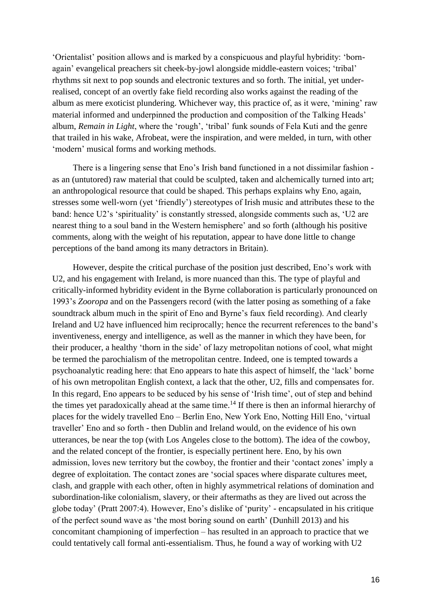'Orientalist' position allows and is marked by a conspicuous and playful hybridity: 'bornagain' evangelical preachers sit cheek-by-jowl alongside middle-eastern voices; 'tribal' rhythms sit next to pop sounds and electronic textures and so forth. The initial, yet underrealised, concept of an overtly fake field recording also works against the reading of the album as mere exoticist plundering. Whichever way, this practice of, as it were, 'mining' raw material informed and underpinned the production and composition of the Talking Heads' album, *Remain in Light*, where the 'rough', 'tribal' funk sounds of Fela Kuti and the genre that trailed in his wake, Afrobeat, were the inspiration, and were melded, in turn, with other 'modern' musical forms and working methods.

There is a lingering sense that Eno's Irish band functioned in a not dissimilar fashion as an (untutored) raw material that could be sculpted, taken and alchemically turned into art; an anthropological resource that could be shaped. This perhaps explains why Eno, again, stresses some well-worn (yet 'friendly') stereotypes of Irish music and attributes these to the band: hence U2's 'spirituality' is constantly stressed, alongside comments such as, 'U2 are nearest thing to a soul band in the Western hemisphere' and so forth (although his positive comments, along with the weight of his reputation, appear to have done little to change perceptions of the band among its many detractors in Britain).

However, despite the critical purchase of the position just described, Eno's work with U2, and his engagement with Ireland, is more nuanced than this. The type of playful and critically-informed hybridity evident in the Byrne collaboration is particularly pronounced on 1993's *Zooropa* and on the Passengers record (with the latter posing as something of a fake soundtrack album much in the spirit of Eno and Byrne's faux field recording). And clearly Ireland and U2 have influenced him reciprocally; hence the recurrent references to the band's inventiveness, energy and intelligence, as well as the manner in which they have been, for their producer, a healthy 'thorn in the side' of lazy metropolitan notions of cool, what might be termed the parochialism of the metropolitan centre. Indeed, one is tempted towards a psychoanalytic reading here: that Eno appears to hate this aspect of himself, the 'lack' borne of his own metropolitan English context, a lack that the other, U2, fills and compensates for. In this regard, Eno appears to be seduced by his sense of 'Irish time', out of step and behind the times yet paradoxically ahead at the same time.<sup>14</sup> If there is then an informal hierarchy of places for the widely travelled Eno – Berlin Eno, New York Eno, Notting Hill Eno, 'virtual traveller' Eno and so forth - then Dublin and Ireland would, on the evidence of his own utterances, be near the top (with Los Angeles close to the bottom). The idea of the cowboy, and the related concept of the frontier, is especially pertinent here. Eno, by his own admission, loves new territory but the cowboy, the frontier and their 'contact zones' imply a degree of exploitation. The contact zones are 'social spaces where disparate cultures meet, clash, and grapple with each other, often in highly asymmetrical relations of domination and subordination-like colonialism, slavery, or their aftermaths as they are lived out across the globe today' (Pratt 2007:4). However, Eno's dislike of 'purity' - encapsulated in his critique of the perfect sound wave as 'the most boring sound on earth' (Dunhill 2013) and his concomitant championing of imperfection – has resulted in an approach to practice that we could tentatively call formal anti-essentialism. Thus, he found a way of working with U2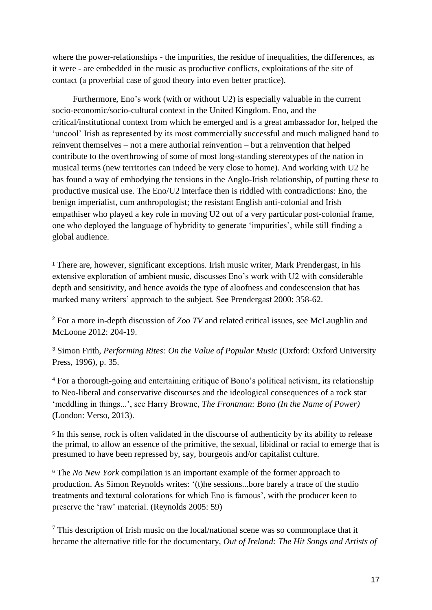where the power-relationships - the impurities, the residue of inequalities, the differences, as it were - are embedded in the music as productive conflicts, exploitations of the site of contact (a proverbial case of good theory into even better practice).

Furthermore, Eno's work (with or without U2) is especially valuable in the current socio-economic/socio-cultural context in the United Kingdom. Eno, and the critical/institutional context from which he emerged and is a great ambassador for, helped the 'uncool' Irish as represented by its most commercially successful and much maligned band to reinvent themselves – not a mere authorial reinvention – but a reinvention that helped contribute to the overthrowing of some of most long-standing stereotypes of the nation in musical terms (new territories can indeed be very close to home). And working with U2 he has found a way of embodying the tensions in the Anglo-Irish relationship, of putting these to productive musical use. The Eno/U2 interface then is riddled with contradictions: Eno, the benign imperialist, cum anthropologist; the resistant English anti-colonial and Irish empathiser who played a key role in moving U2 out of a very particular post-colonial frame, one who deployed the language of hybridity to generate 'impurities', while still finding a global audience.

-

<sup>2</sup> For a more in-depth discussion of *Zoo TV* and related critical issues, see McLaughlin and McLoone 2012: 204-19.

<sup>3</sup> Simon Frith, *Performing Rites: On the Value of Popular Music* (Oxford: Oxford University Press, 1996), p. 35.

<sup>4</sup> For a thorough-going and entertaining critique of Bono's political activism, its relationship to Neo-liberal and conservative discourses and the ideological consequences of a rock star 'meddling in things...', see Harry Browne, *The Frontman: Bono (In the Name of Power)* (London: Verso, 2013).

<sup>5</sup> In this sense, rock is often validated in the discourse of authenticity by its ability to release the primal, to allow an essence of the primitive, the sexual, libidinal or racial to emerge that is presumed to have been repressed by, say, bourgeois and/or capitalist culture.

<sup>6</sup> The *No New York* compilation is an important example of the former approach to production. As Simon Reynolds writes: '(t)he sessions...bore barely a trace of the studio treatments and textural colorations for which Eno is famous', with the producer keen to preserve the 'raw' material. (Reynolds 2005: 59)

 $<sup>7</sup>$  This description of Irish music on the local/national scene was so commonplace that it</sup> became the alternative title for the documentary, *Out of Ireland: The Hit Songs and Artists of* 

<sup>1</sup> There are, however, significant exceptions. Irish music writer, Mark Prendergast, in his extensive exploration of ambient music, discusses Eno's work with U2 with considerable depth and sensitivity, and hence avoids the type of aloofness and condescension that has marked many writers' approach to the subject. See Prendergast 2000: 358-62.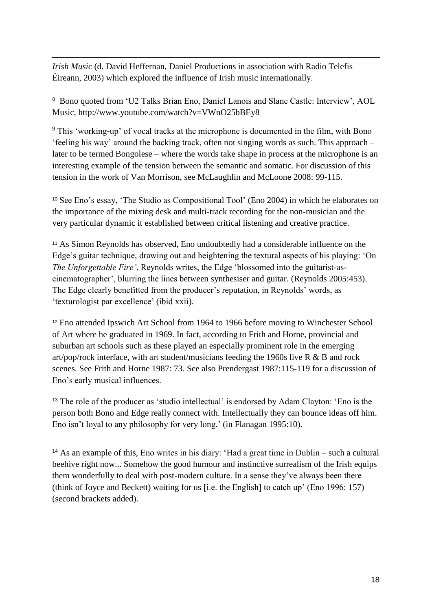-*Irish Music* (d. David Heffernan, Daniel Productions in association with Radio Telefis Éireann, 2003) which explored the influence of Irish music internationally.

<sup>8</sup> Bono quoted from 'U2 Talks Brian Eno, Daniel Lanois and Slane Castle: Interview', AOL Music, http://www.youtube.com/watch?v=VWnO25bBEy8

<sup>9</sup> This 'working-up' of vocal tracks at the microphone is documented in the film, with Bono 'feeling his way' around the backing track, often not singing words as such. This approach – later to be termed Bongolese – where the words take shape in process at the microphone is an interesting example of the tension between the semantic and somatic. For discussion of this tension in the work of Van Morrison, see McLaughlin and McLoone 2008: 99-115.

<sup>10</sup> See Eno's essay, 'The Studio as Compositional Tool' (Eno 2004) in which he elaborates on the importance of the mixing desk and multi-track recording for the non-musician and the very particular dynamic it established between critical listening and creative practice.

<sup>11</sup> As Simon Reynolds has observed, Eno undoubtedly had a considerable influence on the Edge's guitar technique, drawing out and heightening the textural aspects of his playing: 'On *The Unforgettable Fire'*, Reynolds writes, the Edge 'blossomed into the guitarist-ascinematographer', blurring the lines between synthesiser and guitar. (Reynolds 2005:453). The Edge clearly benefitted from the producer's reputation, in Reynolds' words, as 'texturologist par excellence' (ibid xxii).

<sup>12</sup> Eno attended Ipswich Art School from 1964 to 1966 before moving to Winchester School of Art where he graduated in 1969. In fact, according to Frith and Horne, provincial and suburban art schools such as these played an especially prominent role in the emerging art/pop/rock interface, with art student/musicians feeding the 1960s live R & B and rock scenes. See Frith and Horne 1987: 73. See also Prendergast 1987:115-119 for a discussion of Eno's early musical influences.

<sup>13</sup> The role of the producer as 'studio intellectual' is endorsed by Adam Clayton: 'Eno is the person both Bono and Edge really connect with. Intellectually they can bounce ideas off him. Eno isn't loyal to any philosophy for very long.' (in Flanagan 1995:10).

<sup>14</sup> As an example of this, Eno writes in his diary: 'Had a great time in Dublin – such a cultural beehive right now... Somehow the good humour and instinctive surrealism of the Irish equips them wonderfully to deal with post-modern culture. In a sense they've always been there (think of Joyce and Beckett) waiting for us [i.e. the English] to catch up' (Eno 1996: 157) (second brackets added).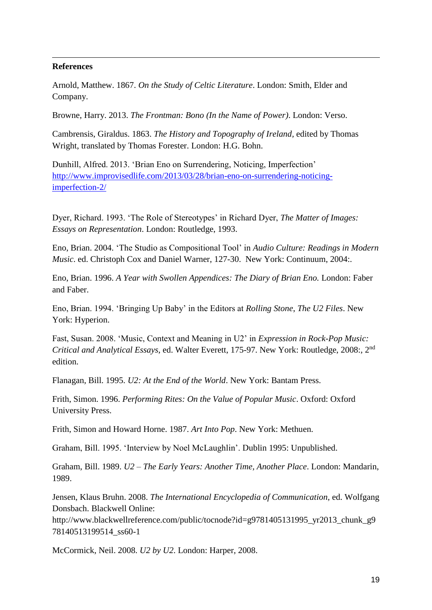# **References**

-

Arnold, Matthew. 1867. *On the Study of Celtic Literature*. London: Smith, Elder and Company.

Browne, Harry. 2013. *The Frontman: Bono (In the Name of Power)*. London: Verso.

Cambrensis, Giraldus. 1863. *The History and Topography of Ireland,* edited by Thomas Wright, translated by Thomas Forester. London: H.G. Bohn.

Dunhill, Alfred. 2013. 'Brian Eno on Surrendering, Noticing, Imperfection' [http://www.improvisedlife.com/2013/03/28/brian-eno-on-surrendering-noticing](http://www.improvisedlife.com/2013/03/28/brian-eno-on-surrendering-noticing-imperfection-2/)[imperfection-2/](http://www.improvisedlife.com/2013/03/28/brian-eno-on-surrendering-noticing-imperfection-2/)

Dyer, Richard. 1993. 'The Role of Stereotypes' in Richard Dyer, *The Matter of Images: Essays on Representation*. London: Routledge, 1993.

Eno, Brian. 2004. 'The Studio as Compositional Tool' in *Audio Culture: Readings in Modern Music*. ed. Christoph Cox and Daniel Warner, 127-30. New York: Continuum, 2004:.

Eno, Brian. 1996. *A Year with Swollen Appendices: The Diary of Brian Eno.* London: Faber and Faber.

Eno, Brian. 1994. 'Bringing Up Baby' in the Editors at *Rolling Stone*, *The U2 Files*. New York: Hyperion.

Fast, Susan. 2008. 'Music, Context and Meaning in U2' in *Expression in Rock-Pop Music: Critical and Analytical Essays*, ed. Walter Everett, 175-97. New York: Routledge, 2008:, 2nd edition.

Flanagan, Bill. 1995. *U2: At the End of the World*. New York: Bantam Press.

Frith, Simon. 1996. *Performing Rites: On the Value of Popular Music*. Oxford: Oxford University Press.

Frith, Simon and Howard Horne. 1987. *Art Into Pop*. New York: Methuen.

Graham, Bill. 1995. 'Interview by Noel McLaughlin'. Dublin 1995: Unpublished.

Graham, Bill. 1989. *U2 – The Early Years: Another Time, Another Place*. London: Mandarin, 1989.

Jensen, Klaus Bruhn. 2008. *The International Encyclopedia of Communication*, ed. Wolfgang Donsbach. Blackwell Online:

http://www.blackwellreference.com/public/tocnode?id=g9781405131995\_yr2013\_chunk\_g9 78140513199514\_ss60-1

McCormick, Neil. 2008. *U2 by U2*. London: Harper, 2008.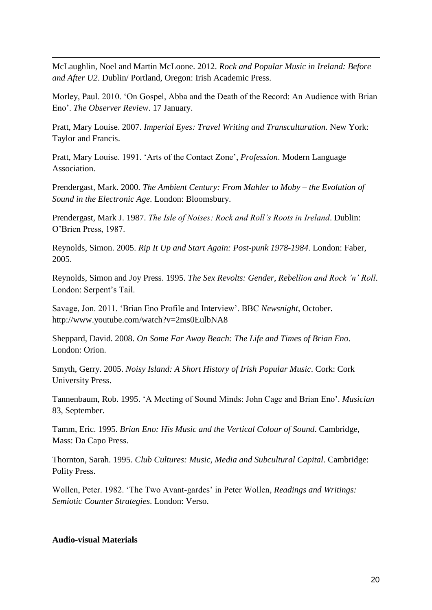-McLaughlin, Noel and Martin McLoone. 2012. *Rock and Popular Music in Ireland: Before and After U2*. Dublin/ Portland, Oregon: Irish Academic Press.

Morley, Paul. 2010. 'On Gospel, Abba and the Death of the Record: An Audience with Brian Eno'. *The Observer Review*. 17 January.

Pratt, Mary Louise. 2007. *Imperial Eyes: Travel Writing and Transculturation.* New York: Taylor and Francis.

Pratt, Mary Louise. 1991. 'Arts of the Contact Zone', *Profession*. Modern Language Association.

Prendergast, Mark. 2000. *The Ambient Century: From Mahler to Moby – the Evolution of Sound in the Electronic Age*. London: Bloomsbury.

Prendergast, Mark J. 1987. *The Isle of Noises: Rock and Roll's Roots in Ireland*. Dublin: O'Brien Press, 1987.

Reynolds, Simon. 2005. *Rip It Up and Start Again: Post-punk 1978-1984*. London: Faber, 2005.

Reynolds, Simon and Joy Press. 1995. *The Sex Revolts: Gender, Rebellion and Rock 'n' Roll*. London: Serpent's Tail.

Savage, Jon. 2011. 'Brian Eno Profile and Interview'. BBC *Newsnight*, October. http://www.youtube.com/watch?v=2ms0EulbNA8

Sheppard, David. 2008. *On Some Far Away Beach: The Life and Times of Brian Eno*. London: Orion.

Smyth, Gerry. 2005. *Noisy Island: A Short History of Irish Popular Music*. Cork: Cork University Press.

Tannenbaum, Rob. 1995. 'A Meeting of Sound Minds: John Cage and Brian Eno'. *Musician* 83, September.

Tamm, Eric. 1995. *Brian Eno: His Music and the Vertical Colour of Sound*. Cambridge, Mass: Da Capo Press.

Thornton, Sarah. 1995. *Club Cultures: Music, Media and Subcultural Capital*. Cambridge: Polity Press.

Wollen, Peter. 1982. 'The Two Avant-gardes' in Peter Wollen, *Readings and Writings: Semiotic Counter Strategies*. London: Verso.

# **Audio-visual Materials**